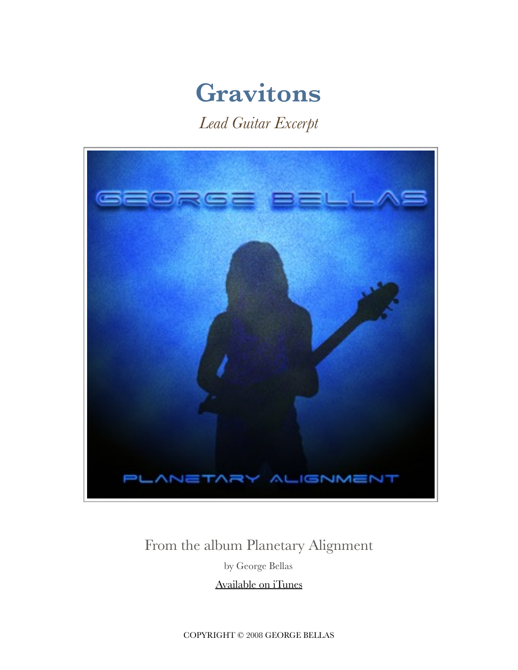## **Gravitons**

*Lead Guitar Excerpt*



#### From the album Planetary Alignment

by George Bellas

[Available on iTunes](ttps://itunes.apple.com/us/album/planetary-alignment/id276380101)

COPYRIGHT © 2008 GEORGE BELLAS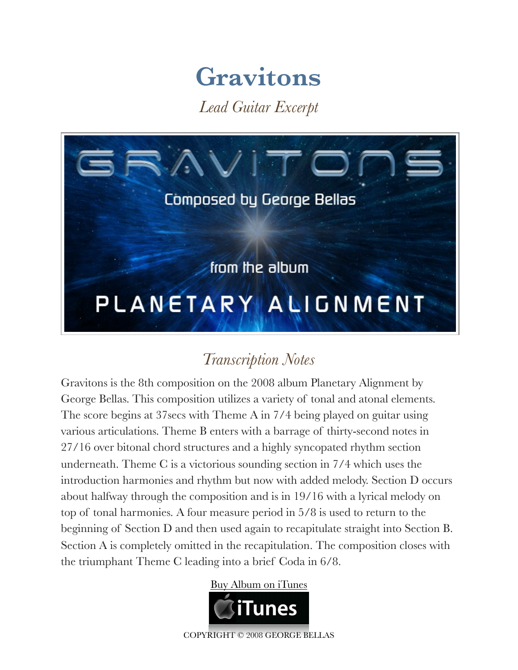# **Gravitons**

*Lead Guitar Excerpt*



#### *Transcription Notes*

Gravitons is the 8th composition on the 2008 album Planetary Alignment by George Bellas. This composition utilizes a variety of tonal and atonal elements. The score begins at 37secs with Theme A in 7/4 being played on guitar using various articulations. Theme B enters with a barrage of thirty-second notes in 27/16 over bitonal chord structures and a highly syncopated rhythm section underneath. Theme C is a victorious sounding section in 7/4 which uses the introduction harmonies and rhythm but now with added melody. Section D occurs about halfway through the composition and is in 19/16 with a lyrical melody on top of tonal harmonies. A four measure period in 5/8 is used to return to the beginning of Section D and then used again to recapitulate straight into Section B. Section A is completely omitted in the recapitulation. The composition closes with the triumphant Theme C leading into a brief Coda in 6/8.



COPYRIGHT © 2008 GEORGE BELLAS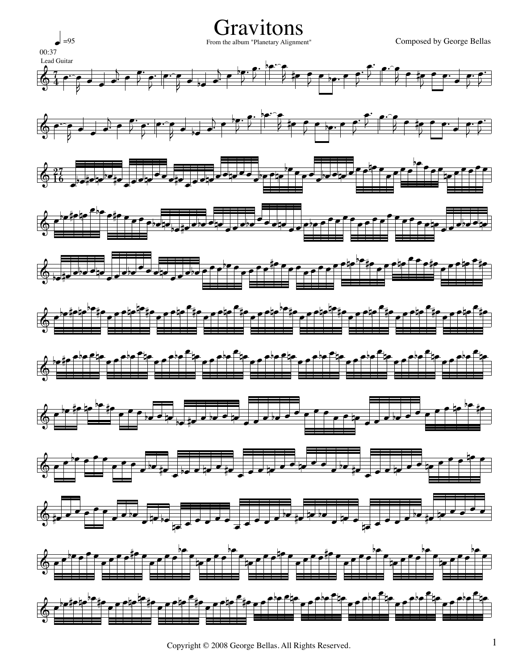

Copyright © 2008 George Bellas. All Rights Reserved.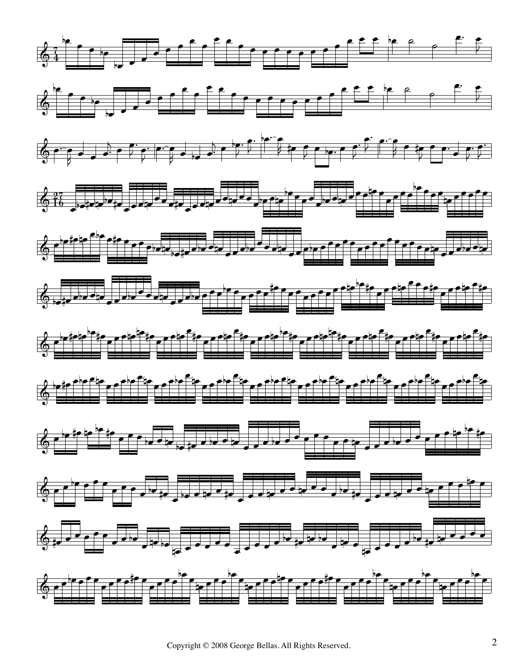





















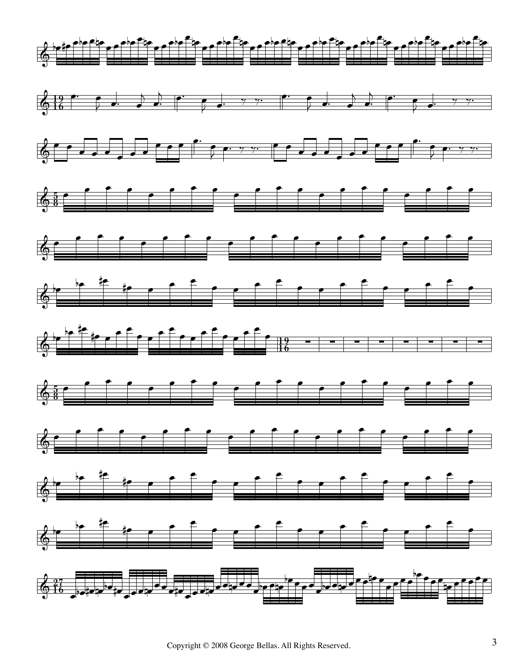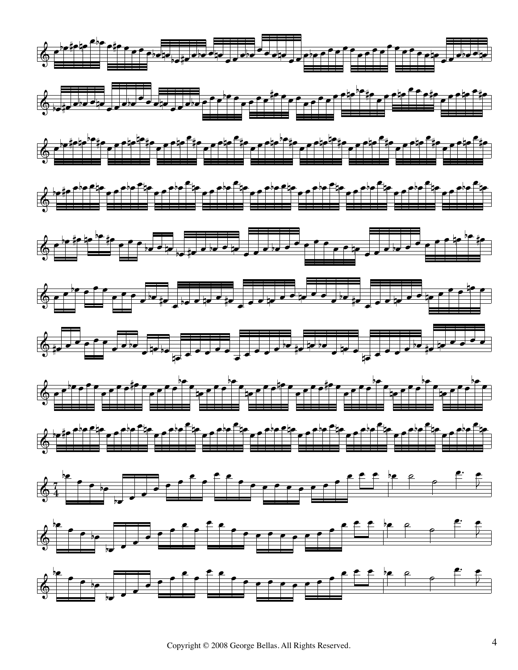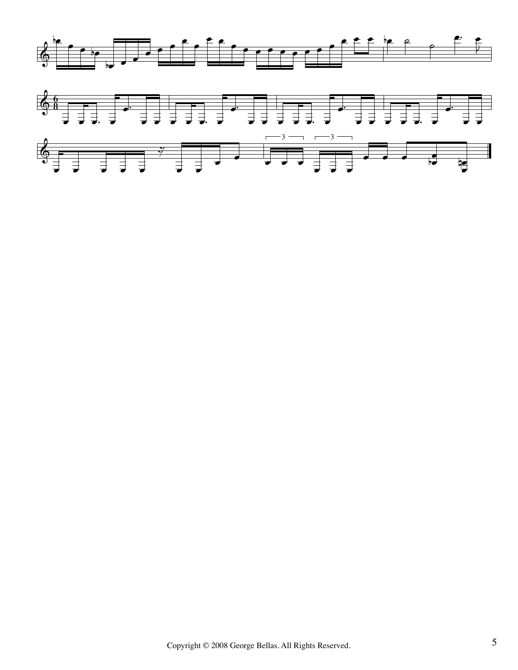